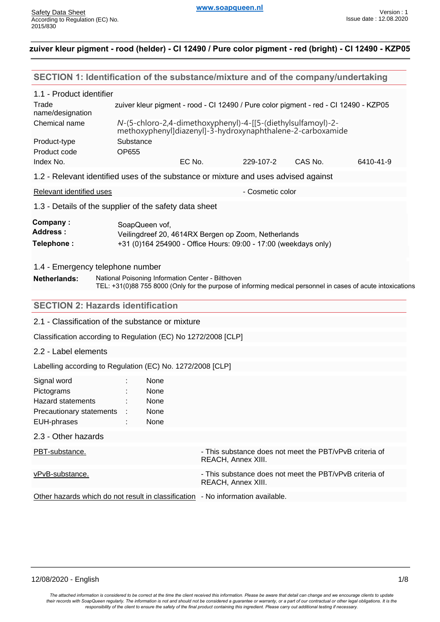| SECTION 1: Identification of the substance/mixture and of the company/undertaking   |                                                                                                                            |        |                                                                                                             |         |           |
|-------------------------------------------------------------------------------------|----------------------------------------------------------------------------------------------------------------------------|--------|-------------------------------------------------------------------------------------------------------------|---------|-----------|
| 1.1 - Product identifier                                                            |                                                                                                                            |        |                                                                                                             |         |           |
| Trade<br>name/designation                                                           | zuiver kleur pigment - rood - CI 12490 / Pure color pigment - red - CI 12490 - KZP05                                       |        |                                                                                                             |         |           |
| Chemical name                                                                       | N-(5-chloro-2,4-dimethoxyphenyl)-4-[[5-(diethylsulfamoyl)-2-<br>methoxyphenyl]diazenyl]-3-hydroxynaphthalene-2-carboxamide |        |                                                                                                             |         |           |
| Product-type<br>Product code                                                        | Substance                                                                                                                  |        |                                                                                                             |         |           |
| Index No.                                                                           | <b>OP655</b>                                                                                                               | EC No. | 229-107-2                                                                                                   | CAS No. | 6410-41-9 |
| 1.2 - Relevant identified uses of the substance or mixture and uses advised against |                                                                                                                            |        |                                                                                                             |         |           |
| <b>Relevant identified uses</b>                                                     |                                                                                                                            |        | - Cosmetic color                                                                                            |         |           |
| 1.3 - Details of the supplier of the safety data sheet                              |                                                                                                                            |        |                                                                                                             |         |           |
| Company:<br><b>Address:</b>                                                         | SoapQueen vof,<br>Veilingdreef 20, 4614RX Bergen op Zoom, Netherlands                                                      |        |                                                                                                             |         |           |
| Telephone:                                                                          |                                                                                                                            |        | +31 (0)164 254900 - Office Hours: 09:00 - 17:00 (weekdays only)                                             |         |           |
| 1.4 - Emergency telephone number                                                    |                                                                                                                            |        |                                                                                                             |         |           |
| <b>Netherlands:</b>                                                                 | National Poisoning Information Center - Bilthoven                                                                          |        |                                                                                                             |         |           |
|                                                                                     |                                                                                                                            |        | TEL: +31(0)88 755 8000 (Only for the purpose of informing medical personnel in cases of acute intoxications |         |           |
| <b>SECTION 2: Hazards identification</b>                                            |                                                                                                                            |        |                                                                                                             |         |           |
| 2.1 - Classification of the substance or mixture                                    |                                                                                                                            |        |                                                                                                             |         |           |
| Classification according to Regulation (EC) No 1272/2008 [CLP]                      |                                                                                                                            |        |                                                                                                             |         |           |
| 2.2 - Label elements                                                                |                                                                                                                            |        |                                                                                                             |         |           |
| Labelling according to Regulation (EC) No. 1272/2008 [CLP]                          |                                                                                                                            |        |                                                                                                             |         |           |
| Signal word                                                                         |                                                                                                                            |        |                                                                                                             |         |           |
|                                                                                     | None                                                                                                                       |        |                                                                                                             |         |           |
| Pictograms                                                                          | None                                                                                                                       |        |                                                                                                             |         |           |
| <b>Hazard statements</b><br>Precautionary statements                                | None<br>None                                                                                                               |        |                                                                                                             |         |           |
| EUH-phrases                                                                         | None                                                                                                                       |        |                                                                                                             |         |           |
| 2.3 - Other hazards                                                                 |                                                                                                                            |        |                                                                                                             |         |           |
| PBT-substance.                                                                      |                                                                                                                            |        | - This substance does not meet the PBT/vPvB criteria of<br>REACH, Annex XIII.                               |         |           |
| vPvB-substance.                                                                     |                                                                                                                            |        | - This substance does not meet the PBT/vPvB criteria of<br>REACH, Annex XIII.                               |         |           |
| Other hazards which do not result in classification - No information available.     |                                                                                                                            |        |                                                                                                             |         |           |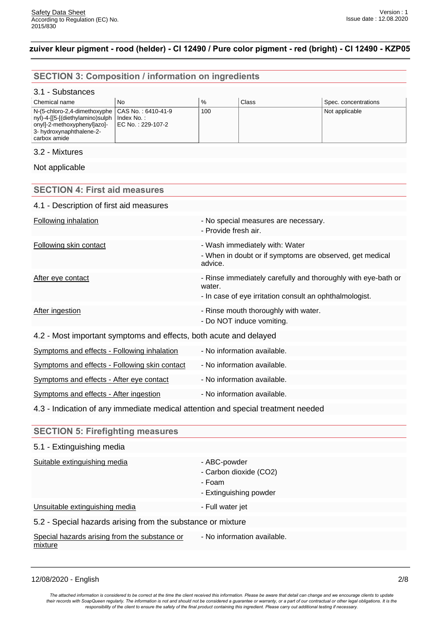# **SECTION 3: Composition / information on ingredients**

#### 3.1 - Substances

| l Chemical name                                                                                                                                                                         | No                 | $\%$ | Class | Spec. concentrations |
|-----------------------------------------------------------------------------------------------------------------------------------------------------------------------------------------|--------------------|------|-------|----------------------|
| $N-(5$ -chloro-2,4-dimethoxyphe $  CAS No.: 6410-41-9$<br>  nyl)-4-[[5-[(diethylamino)sulph   Index No.:<br>  onyl]-2-methoxyphenyl]azo]-<br>3- hydroxynaphthalene-2-<br>l carbox amide | LEC No.: 229-107-2 | 100  |       | Not applicable       |

### 3.2 - Mixtures

Not applicable

### **SECTION 4: First aid measures**

| 4.1 - Description of first aid measures                           |                                                                                                                                    |
|-------------------------------------------------------------------|------------------------------------------------------------------------------------------------------------------------------------|
|                                                                   |                                                                                                                                    |
| <b>Following inhalation</b>                                       | - No special measures are necessary.<br>- Provide fresh air.                                                                       |
| <b>Following skin contact</b>                                     | - Wash immediately with: Water<br>- When in doubt or if symptoms are observed, get medical<br>advice.                              |
| After eye contact                                                 | - Rinse immediately carefully and thoroughly with eye-bath or<br>water.<br>- In case of eye irritation consult an ophthalmologist. |
| After ingestion                                                   | - Rinse mouth thoroughly with water.<br>- Do NOT induce vomiting.                                                                  |
| 4.2 - Most important symptoms and effects, both acute and delayed |                                                                                                                                    |
| <b>Symptoms and effects - Following inhalation</b>                | - No information available.                                                                                                        |
| Symptoms and effects - Following skin contact                     | - No information available.                                                                                                        |
| Symptoms and effects - After eye contact                          | - No information available.                                                                                                        |
| Symptoms and effects - After ingestion                            | - No information available.                                                                                                        |

4.3 - Indication of any immediate medical attention and special treatment needed

| <b>SECTION 5: Firefighting measures</b><br>5.1 - Extinguishing media<br>Suitable extinguishing media<br>- ABC-powder |  |  |  |
|----------------------------------------------------------------------------------------------------------------------|--|--|--|
|                                                                                                                      |  |  |  |
|                                                                                                                      |  |  |  |
| - Carbon dioxide (CO2)<br>- Foam<br>- Extinguishing powder                                                           |  |  |  |
| Unsuitable extinguishing media<br>- Full water jet                                                                   |  |  |  |
| 5.2 - Special hazards arising from the substance or mixture                                                          |  |  |  |
| - No information available.<br>Special hazards arising from the substance or<br>mixture                              |  |  |  |

12/08/2020 - English 2/8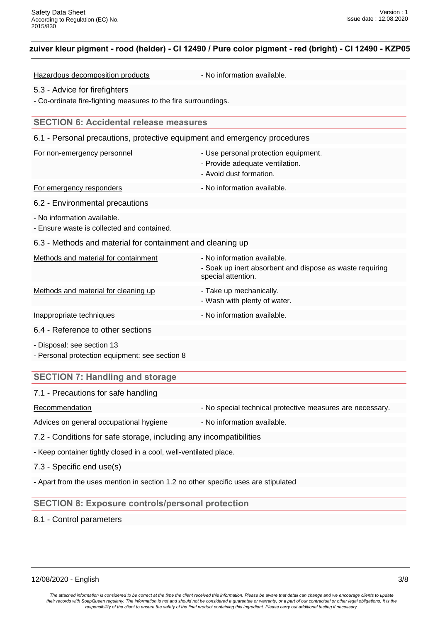Hazardous decomposition products - No information available.

#### 5.3 - Advice for firefighters

- Co-ordinate fire-fighting measures to the fire surroundings.

#### **SECTION 6: Accidental release measures**

| 6.1 - Personal precautions, protective equipment and emergency procedures    |                                                                                                               |  |
|------------------------------------------------------------------------------|---------------------------------------------------------------------------------------------------------------|--|
| For non-emergency personnel                                                  | - Use personal protection equipment.<br>- Provide adequate ventilation.<br>- Avoid dust formation.            |  |
| For emergency responders                                                     | - No information available.                                                                                   |  |
| 6.2 - Environmental precautions                                              |                                                                                                               |  |
| - No information available.<br>- Ensure waste is collected and contained.    |                                                                                                               |  |
| 6.3 - Methods and material for containment and cleaning up                   |                                                                                                               |  |
| Methods and material for containment                                         | - No information available.<br>- Soak up inert absorbent and dispose as waste requiring<br>special attention. |  |
| Methods and material for cleaning up                                         | - Take up mechanically.<br>- Wash with plenty of water.                                                       |  |
| Inappropriate techniques                                                     | - No information available.                                                                                   |  |
| 6.4 - Reference to other sections                                            |                                                                                                               |  |
| - Disposal: see section 13<br>- Personal protection equipment: see section 8 |                                                                                                               |  |

### **SECTION 7: Handling and storage**

#### 7.1 - Precautions for safe handling

Recommendation **Recommendation** - No special technical protective measures are necessary.

Advices on general occupational hygiene - No information available.

7.2 - Conditions for safe storage, including any incompatibilities

- Keep container tightly closed in a cool, well-ventilated place.

7.3 - Specific end use(s)

- Apart from the uses mention in section 1.2 no other specific uses are stipulated

#### **SECTION 8: Exposure controls/personal protection**

8.1 - Control parameters

12/08/2020 - English 3/8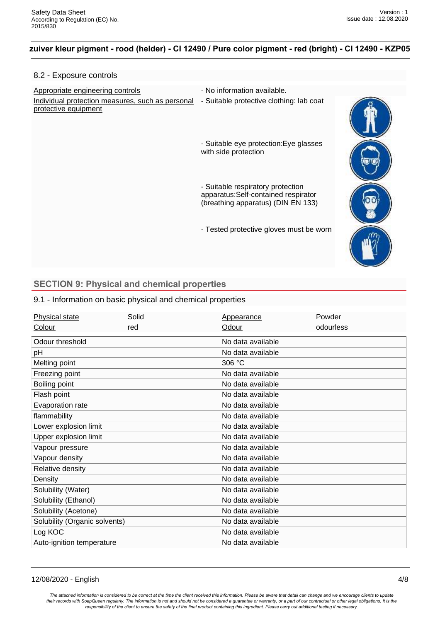#### 8.2 - Exposure controls

Appropriate engineering controls **Auditor** - No information available. Individual protection measures, such as personal - Suitable protective clothing: lab coat protective equipment

- 
- 

- Suitable eye protection:Eye glasses with side protection

- Suitable respiratory protection apparatus:Self-contained respirator (breathing apparatus) (DIN EN 133)

- Tested protective gloves must be worn



## **SECTION 9: Physical and chemical properties**

#### 9.1 - Information on basic physical and chemical properties

| <b>Physical state</b>         | Solid | Appearance        | Powder    |
|-------------------------------|-------|-------------------|-----------|
| Colour                        | red   | Odour             | odourless |
| Odour threshold               |       | No data available |           |
| рH                            |       | No data available |           |
| Melting point                 |       | 306 °C            |           |
| Freezing point                |       | No data available |           |
| Boiling point                 |       | No data available |           |
| Flash point                   |       | No data available |           |
| Evaporation rate              |       | No data available |           |
| flammability                  |       | No data available |           |
| Lower explosion limit         |       | No data available |           |
| Upper explosion limit         |       | No data available |           |
| Vapour pressure               |       | No data available |           |
| Vapour density                |       | No data available |           |
| Relative density              |       | No data available |           |
| Density                       |       | No data available |           |
| Solubility (Water)            |       | No data available |           |
| Solubility (Ethanol)          |       | No data available |           |
| Solubility (Acetone)          |       | No data available |           |
| Solubility (Organic solvents) |       | No data available |           |
| Log KOC                       |       | No data available |           |
| Auto-ignition temperature     |       | No data available |           |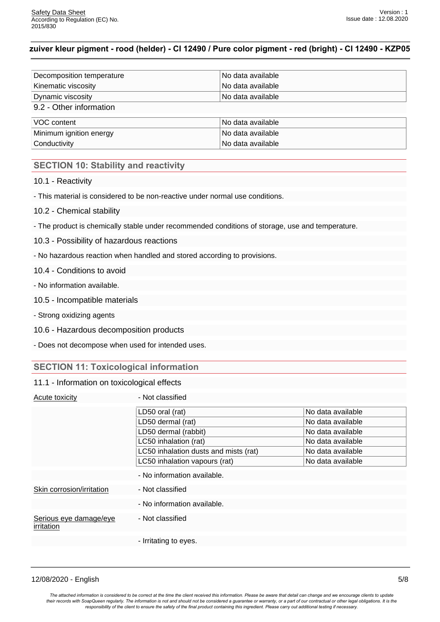| Decomposition temperature | No data available |
|---------------------------|-------------------|
| Kinematic viscosity       | No data available |
| Dynamic viscosity         | No data available |
| 9.2 - Other information   |                   |
| VOC content               | No data available |
| Minimum ignition energy   | No data available |
| Conductivity              | No data available |

# **SECTION 10: Stability and reactivity**

10.1 - Reactivity

- This material is considered to be non-reactive under normal use conditions.

- 10.2 Chemical stability
- The product is chemically stable under recommended conditions of storage, use and temperature.
- 10.3 Possibility of hazardous reactions
- No hazardous reaction when handled and stored according to provisions.
- 10.4 Conditions to avoid
- No information available.
- 10.5 Incompatible materials
- Strong oxidizing agents
- 10.6 Hazardous decomposition products
- Does not decompose when used for intended uses.

#### **SECTION 11: Toxicological information**

#### 11.1 - Information on toxicological effects

| Acute toxicity                       | - Not classified                      |                   |
|--------------------------------------|---------------------------------------|-------------------|
|                                      | LD50 oral (rat)                       | No data available |
|                                      | LD50 dermal (rat)                     | No data available |
|                                      | LD50 dermal (rabbit)                  | No data available |
|                                      | LC50 inhalation (rat)                 | No data available |
|                                      | LC50 inhalation dusts and mists (rat) | No data available |
|                                      | LC50 inhalation vapours (rat)         | No data available |
|                                      | - No information available.           |                   |
| Skin corrosion/irritation            | - Not classified                      |                   |
|                                      | - No information available.           |                   |
| Serious eye damage/eye<br>irritation | - Not classified                      |                   |
|                                      | - Irritating to eyes.                 |                   |

12/08/2020 - English 5/8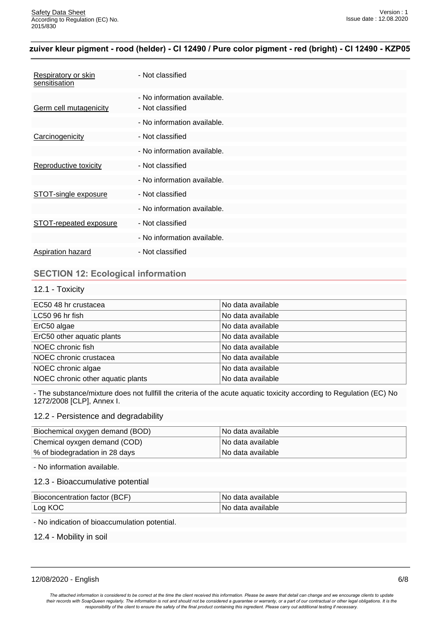| <b>Respiratory or skin</b><br>sensitisation | - Not classified                                |
|---------------------------------------------|-------------------------------------------------|
| <b>Germ cell mutagenicity</b>               | - No information available.<br>- Not classified |
|                                             | - No information available.                     |
| Carcinogenicity                             | - Not classified                                |
|                                             | - No information available.                     |
| Reproductive toxicity                       | - Not classified                                |
|                                             | - No information available.                     |
| STOT-single exposure                        | - Not classified                                |
|                                             | - No information available.                     |
| STOT-repeated exposure                      | - Not classified                                |
|                                             | - No information available.                     |
| Aspiration hazard                           | - Not classified                                |

# **SECTION 12: Ecological information**

## 12.1 - Toxicity

| EC50 48 hr crustacea              | No data available |
|-----------------------------------|-------------------|
| LC50 96 hr fish                   | No data available |
| ErC50 algae                       | No data available |
| ErC50 other aquatic plants        | No data available |
| NOEC chronic fish                 | No data available |
| NOEC chronic crustacea            | No data available |
| NOEC chronic algae                | No data available |
| NOEC chronic other aquatic plants | No data available |

- The substance/mixture does not fullfill the criteria of the acute aquatic toxicity according to Regulation (EC) No 1272/2008 [CLP], Annex I.

#### 12.2 - Persistence and degradability

| Biochemical oxygen demand (BOD) | ⊺No data available |
|---------------------------------|--------------------|
| Chemical oyxgen demand (COD)    | ⊺No data available |
| % of biodegradation in 28 days  | ⊺No data available |

- No information available.

#### 12.3 - Bioaccumulative potential

| Bioconcentration factor (BCF) | No data available        |
|-------------------------------|--------------------------|
| Log KOC                       | <i>No data available</i> |

- No indication of bioaccumulation potential.

12.4 - Mobility in soil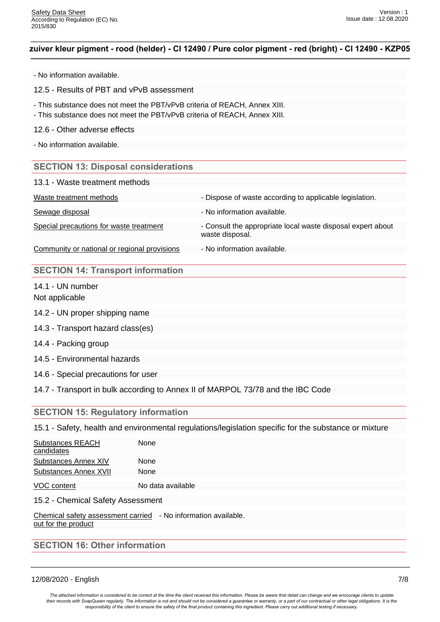- No information available.
- 12.5 Results of PBT and vPvB assessment
- This substance does not meet the PBT/vPvB criteria of REACH, Annex XIII.
- This substance does not meet the PBT/vPvB criteria of REACH, Annex XIII.
- 12.6 Other adverse effects
- No information available.

#### **SECTION 13: Disposal considerations**

|  | 13.1 - Waste treatment methods |  |
|--|--------------------------------|--|
|--|--------------------------------|--|

| Waste treatment methods                 | - Dispose of waste according to applicable legislation.                        |
|-----------------------------------------|--------------------------------------------------------------------------------|
| Sewage disposal                         | - No information available.                                                    |
| Special precautions for waste treatment | - Consult the appropriate local waste disposal expert about<br>waste disposal. |

Community or national or regional provisions - No information available.

### **SECTION 14: Transport information**

14.1 - UN number Not applicable

- 14.2 UN proper shipping name
- 14.3 Transport hazard class(es)
- 14.4 Packing group
- 14.5 Environmental hazards
- 14.6 Special precautions for user
- 14.7 Transport in bulk according to Annex II of MARPOL 73/78 and the IBC Code

# **SECTION 15: Regulatory information**

15.1 - Safety, health and environmental regulations/legislation specific for the substance or mixture

| <b>Substances REACH</b>     | None |  |
|-----------------------------|------|--|
| candidates                  |      |  |
| <b>Substances Annex XIV</b> | None |  |
| Substances Annex XVII       | None |  |
|                             |      |  |

VOC content No data available

15.2 - Chemical Safety Assessment

Chemical safety assessment carried - No information available. out for the product

# **SECTION 16: Other information**